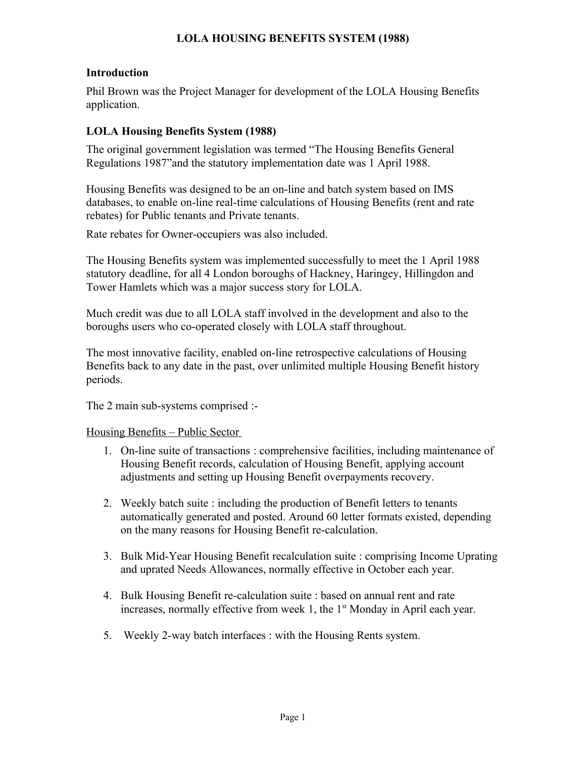# **LOLA HOUSING BENEFITS SYSTEM (1988)**

### **Introduction**

Phil Brown was the Project Manager for development of the LOLA Housing Benefits application.

# **LOLA Housing Benefits System (1988)**

The original government legislation was termed "The Housing Benefits General Regulations 1987"and the statutory implementation date was 1 April 1988.

Housing Benefits was designed to be an on-line and batch system based on IMS databases, to enable on-line real-time calculations of Housing Benefits (rent and rate rebates) for Public tenants and Private tenants.

Rate rebates for Owner-occupiers was also included.

The Housing Benefits system was implemented successfully to meet the 1 April 1988 statutory deadline, for all 4 London boroughs of Hackney, Haringey, Hillingdon and Tower Hamlets which was a major success story for LOLA.

Much credit was due to all LOLA staff involved in the development and also to the boroughs users who co-operated closely with LOLA staff throughout.

The most innovative facility, enabled on-line retrospective calculations of Housing Benefits back to any date in the past, over unlimited multiple Housing Benefit history periods.

The 2 main sub-systems comprised :-

#### Housing Benefits – Public Sector

- 1. On-line suite of transactions : comprehensive facilities, including maintenance of Housing Benefit records, calculation of Housing Benefit, applying account adjustments and setting up Housing Benefit overpayments recovery.
- 2. Weekly batch suite : including the production of Benefit letters to tenants automatically generated and posted. Around 60 letter formats existed, depending on the many reasons for Housing Benefit re-calculation.
- 3. Bulk Mid-Year Housing Benefit recalculation suite : comprising Income Uprating and uprated Needs Allowances, normally effective in October each year.
- 4. Bulk Housing Benefit re-calculation suite : based on annual rent and rate increases, normally effective from week 1, the  $1<sup>st</sup>$  Monday in April each year.
- 5. Weekly 2-way batch interfaces : with the Housing Rents system.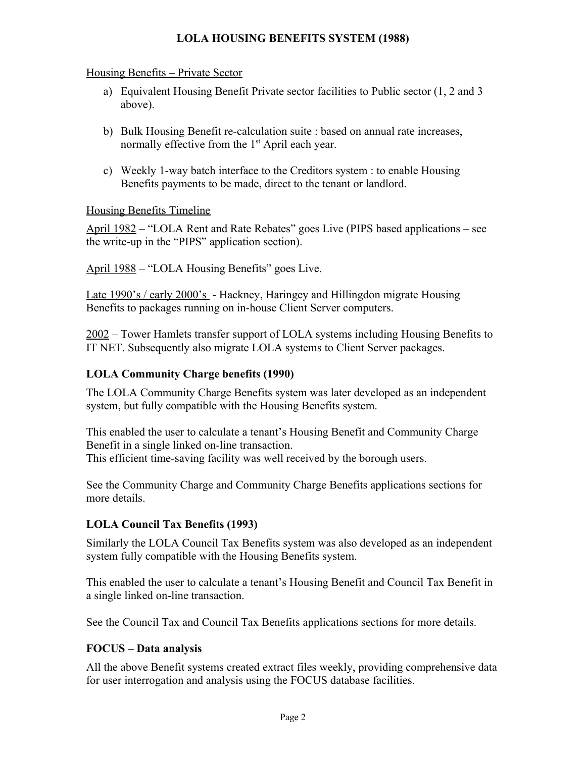# **LOLA HOUSING BENEFITS SYSTEM (1988)**

### Housing Benefits – Private Sector

- a) Equivalent Housing Benefit Private sector facilities to Public sector (1, 2 and 3 above).
- b) Bulk Housing Benefit re-calculation suite : based on annual rate increases, normally effective from the  $1<sup>st</sup>$  April each year.
- c) Weekly 1-way batch interface to the Creditors system : to enable Housing Benefits payments to be made, direct to the tenant or landlord.

### Housing Benefits Timeline

April 1982 – "LOLA Rent and Rate Rebates" goes Live (PIPS based applications – see the write-up in the "PIPS" application section).

April 1988 – "LOLA Housing Benefits" goes Live.

Late 1990's / early 2000's - Hackney, Haringey and Hillingdon migrate Housing Benefits to packages running on in-house Client Server computers.

2002 – Tower Hamlets transfer support of LOLA systems including Housing Benefits to IT NET. Subsequently also migrate LOLA systems to Client Server packages.

# **LOLA Community Charge benefits (1990)**

The LOLA Community Charge Benefits system was later developed as an independent system, but fully compatible with the Housing Benefits system.

This enabled the user to calculate a tenant's Housing Benefit and Community Charge Benefit in a single linked on-line transaction. This efficient time-saving facility was well received by the borough users.

See the Community Charge and Community Charge Benefits applications sections for more details.

# **LOLA Council Tax Benefits (1993)**

Similarly the LOLA Council Tax Benefits system was also developed as an independent system fully compatible with the Housing Benefits system.

This enabled the user to calculate a tenant's Housing Benefit and Council Tax Benefit in a single linked on-line transaction.

See the Council Tax and Council Tax Benefits applications sections for more details.

### **FOCUS – Data analysis**

All the above Benefit systems created extract files weekly, providing comprehensive data for user interrogation and analysis using the FOCUS database facilities.